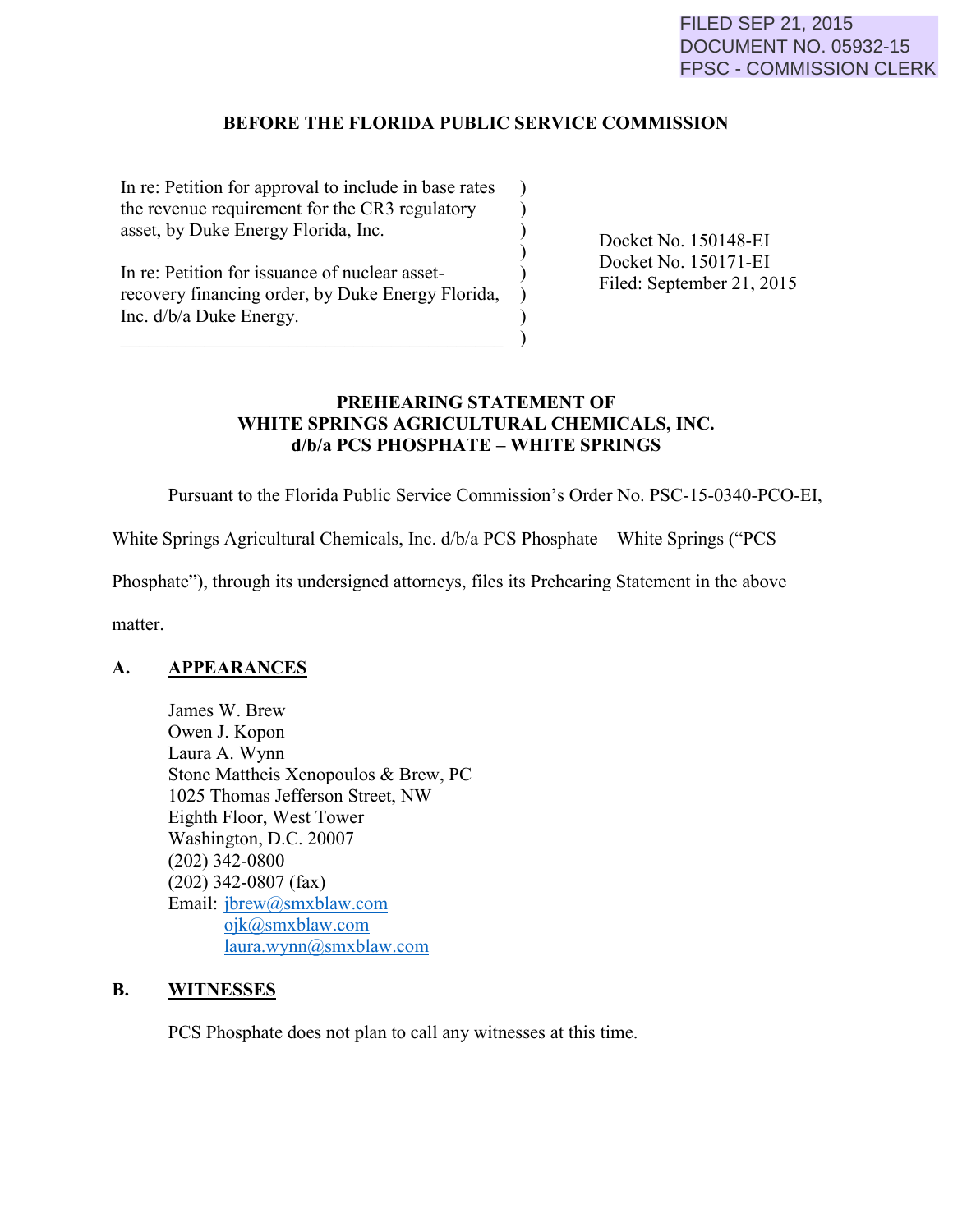## **BEFORE THE FLORIDA PUBLIC SERVICE COMMISSION**

) ) ) )

) ) ) )

In re: Petition for approval to include in base rates the revenue requirement for the CR3 regulatory asset, by Duke Energy Florida, Inc.

Filed: September 21, 2015 recovery financing order, by Duke Energy Florida, Inc. d/b/a Duke Energy.

 $\overline{\mathcal{L}}$  , and the set of the set of the set of the set of the set of the set of the set of the set of the set of the set of the set of the set of the set of the set of the set of the set of the set of the set of the s

Docket No. 150148-EI Docket No. 150171-EI

# **PREHEARING STATEMENT OF WHITE SPRINGS AGRICULTURAL CHEMICALS, INC. d/b/a PCS PHOSPHATE – WHITE SPRINGS**

Pursuant to the Florida Public Service Commission's Order No. PSC-15-0340-PCO-EI,

White Springs Agricultural Chemicals, Inc. d/b/a PCS Phosphate – White Springs ("PCS

Phosphate"), through its undersigned attorneys, files its Prehearing Statement in the above

matter.

## **A. APPEARANCES**

 James W. Brew Owen J. Kopon Laura A. Wynn Stone Mattheis Xenopoulos & Brew, PC 1025 Thomas Jefferson Street, NW Eighth Floor, West Tower Washington, D.C. 20007 (202) 342-0800 (202) 342-0807 (fax) Email: [jbrew@smxblaw.com](mailto:jbrew@smxblaw.com) [ojk@smxblaw.com](mailto:ojk@smxblaw.com) [laura.wynn@smxblaw.com](mailto:laura.wynn@smxblaw.com)

## **B. WITNESSES**

PCS Phosphate does not plan to call any witnesses at this time.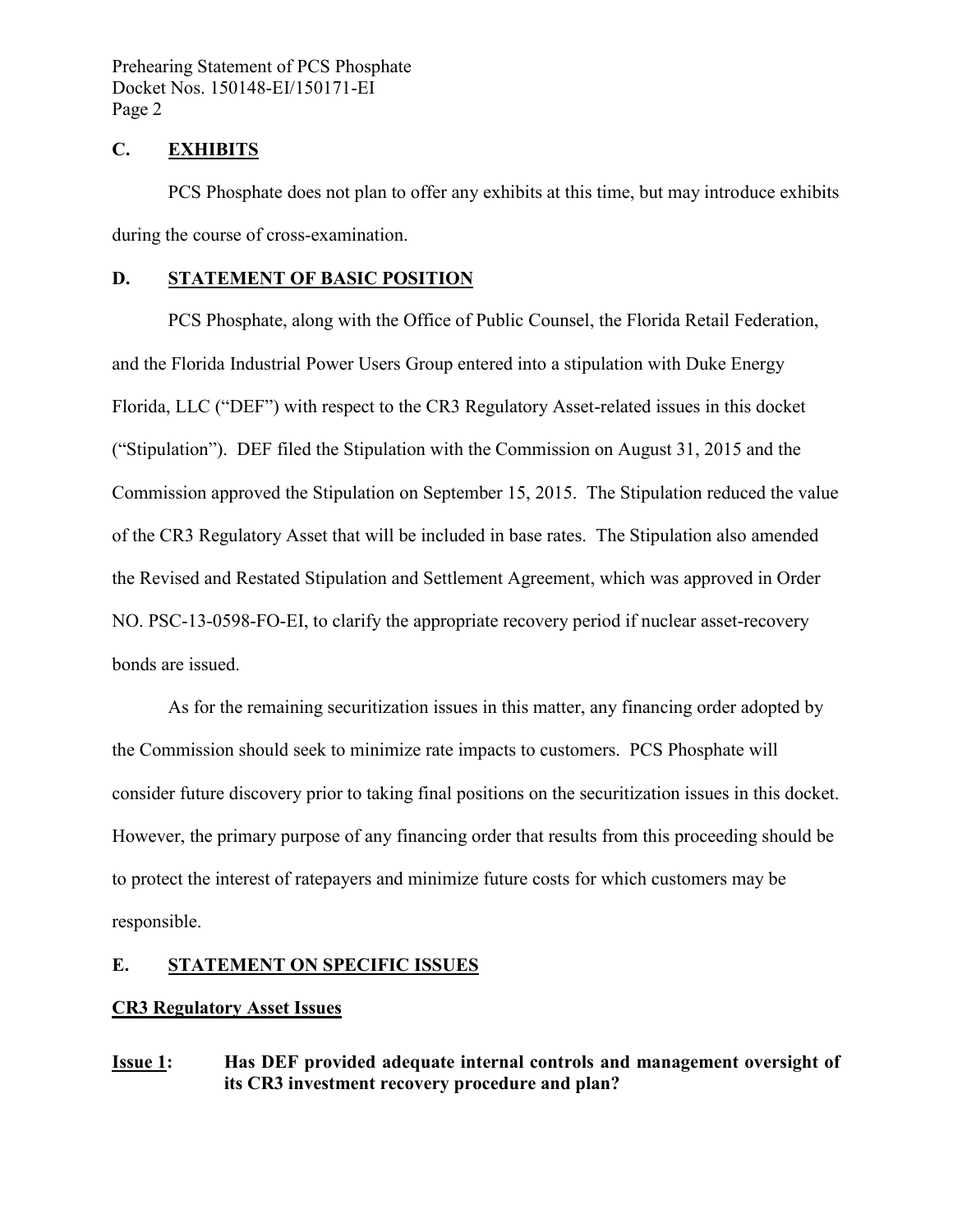## **C. EXHIBITS**

PCS Phosphate does not plan to offer any exhibits at this time, but may introduce exhibits during the course of cross-examination.

## **D. STATEMENT OF BASIC POSITION**

 PCS Phosphate, along with the Office of Public Counsel, the Florida Retail Federation, and the Florida Industrial Power Users Group entered into a stipulation with Duke Energy Florida, LLC ("DEF") with respect to the CR3 Regulatory Asset-related issues in this docket ("Stipulation"). DEF filed the Stipulation with the Commission on August 31, 2015 and the Commission approved the Stipulation on September 15, 2015. The Stipulation reduced the value of the CR3 Regulatory Asset that will be included in base rates. The Stipulation also amended the Revised and Restated Stipulation and Settlement Agreement, which was approved in Order NO. PSC-13-0598-FO-EI, to clarify the appropriate recovery period if nuclear asset-recovery bonds are issued.

 As for the remaining securitization issues in this matter, any financing order adopted by the Commission should seek to minimize rate impacts to customers. PCS Phosphate will consider future discovery prior to taking final positions on the securitization issues in this docket. However, the primary purpose of any financing order that results from this proceeding should be to protect the interest of ratepayers and minimize future costs for which customers may be responsible.

## **E. STATEMENT ON SPECIFIC ISSUES**

## **CR3 Regulatory Asset Issues**

**Issue 1: Has DEF provided adequate internal controls and management oversight of its CR3 investment recovery procedure and plan?**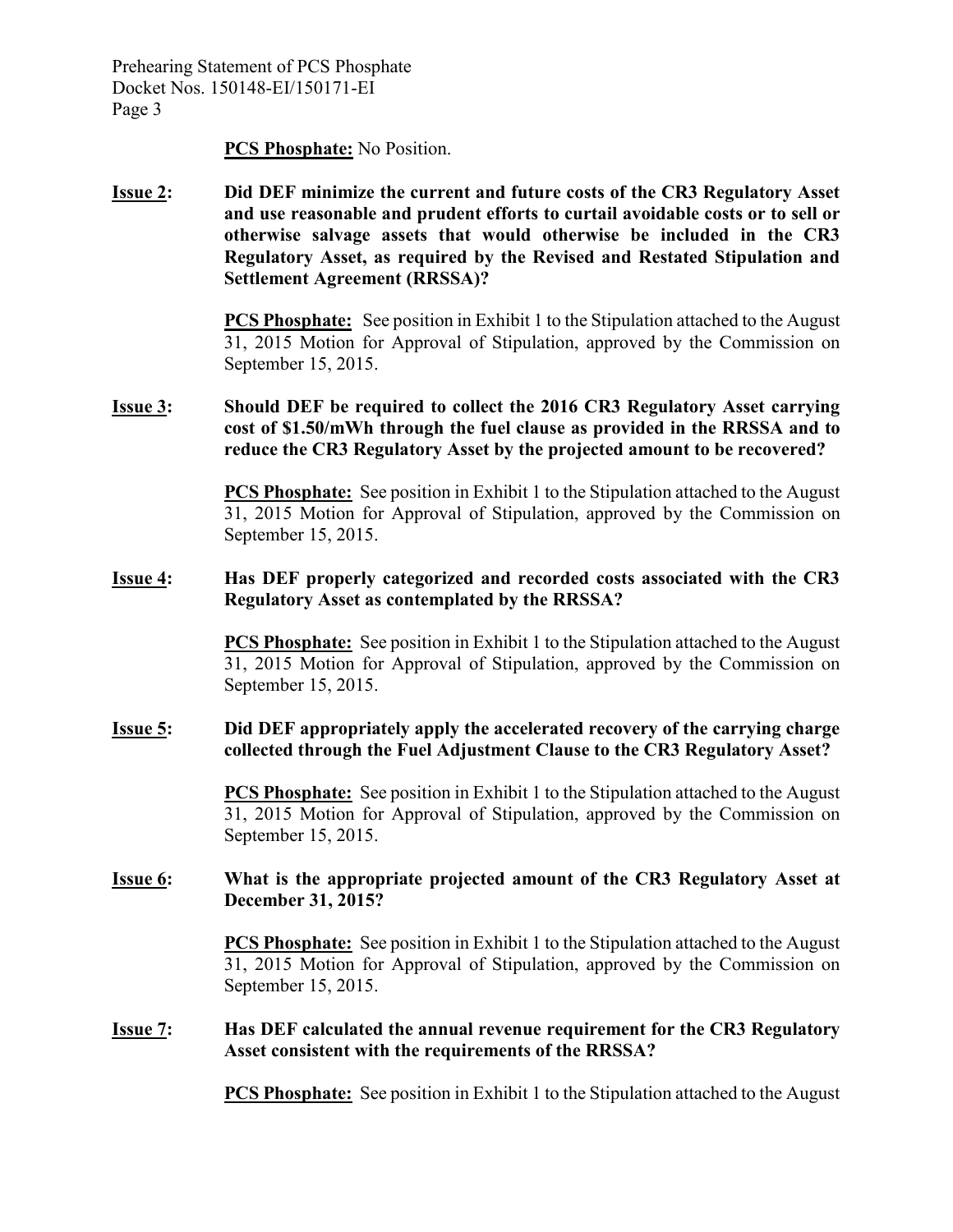#### **PCS Phosphate:** No Position.

**Issue 2: Did DEF minimize the current and future costs of the CR3 Regulatory Asset and use reasonable and prudent efforts to curtail avoidable costs or to sell or otherwise salvage assets that would otherwise be included in the CR3 Regulatory Asset, as required by the Revised and Restated Stipulation and Settlement Agreement (RRSSA)?** 

> **PCS Phosphate:** See position in Exhibit 1 to the Stipulation attached to the August 31, 2015 Motion for Approval of Stipulation, approved by the Commission on September 15, 2015.

### **Issue 3: Should DEF be required to collect the 2016 CR3 Regulatory Asset carrying cost of \$1.50/mWh through the fuel clause as provided in the RRSSA and to reduce the CR3 Regulatory Asset by the projected amount to be recovered?**

**PCS Phosphate:** See position in Exhibit 1 to the Stipulation attached to the August 31, 2015 Motion for Approval of Stipulation, approved by the Commission on September 15, 2015.

#### **Issue 4: Has DEF properly categorized and recorded costs associated with the CR3 Regulatory Asset as contemplated by the RRSSA?**

**PCS Phosphate:** See position in Exhibit 1 to the Stipulation attached to the August 31, 2015 Motion for Approval of Stipulation, approved by the Commission on September 15, 2015.

#### **Issue 5: Did DEF appropriately apply the accelerated recovery of the carrying charge collected through the Fuel Adjustment Clause to the CR3 Regulatory Asset?**

**PCS Phosphate:** See position in Exhibit 1 to the Stipulation attached to the August 31, 2015 Motion for Approval of Stipulation, approved by the Commission on September 15, 2015.

### **Issue 6: What is the appropriate projected amount of the CR3 Regulatory Asset at December 31, 2015?**

**PCS Phosphate:** See position in Exhibit 1 to the Stipulation attached to the August 31, 2015 Motion for Approval of Stipulation, approved by the Commission on September 15, 2015.

### **Issue 7: Has DEF calculated the annual revenue requirement for the CR3 Regulatory Asset consistent with the requirements of the RRSSA?**

**PCS Phosphate:** See position in Exhibit 1 to the Stipulation attached to the August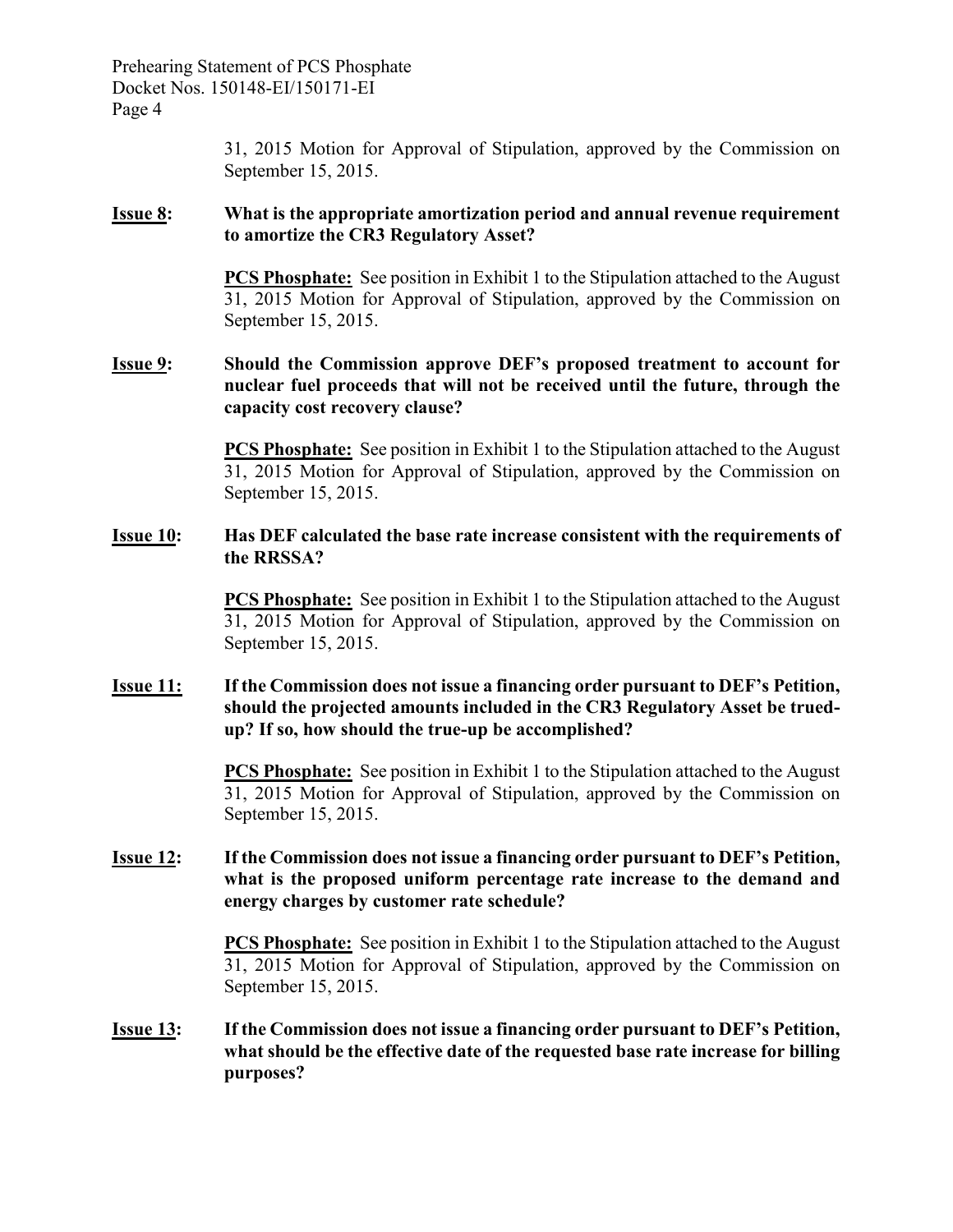> 31, 2015 Motion for Approval of Stipulation, approved by the Commission on September 15, 2015.

#### **Issue 8: What is the appropriate amortization period and annual revenue requirement to amortize the CR3 Regulatory Asset?**

**PCS Phosphate:** See position in Exhibit 1 to the Stipulation attached to the August 31, 2015 Motion for Approval of Stipulation, approved by the Commission on September 15, 2015.

### **Issue 9: Should the Commission approve DEF's proposed treatment to account for nuclear fuel proceeds that will not be received until the future, through the capacity cost recovery clause?**

**PCS Phosphate:** See position in Exhibit 1 to the Stipulation attached to the August 31, 2015 Motion for Approval of Stipulation, approved by the Commission on September 15, 2015.

#### **Issue 10: Has DEF calculated the base rate increase consistent with the requirements of the RRSSA?**

**PCS Phosphate:** See position in Exhibit 1 to the Stipulation attached to the August 31, 2015 Motion for Approval of Stipulation, approved by the Commission on September 15, 2015.

### **Issue 11: If the Commission does not issue a financing order pursuant to DEF's Petition, should the projected amounts included in the CR3 Regulatory Asset be truedup? If so, how should the true-up be accomplished?**

**PCS Phosphate:** See position in Exhibit 1 to the Stipulation attached to the August 31, 2015 Motion for Approval of Stipulation, approved by the Commission on September 15, 2015.

### **Issue 12: If the Commission does not issue a financing order pursuant to DEF's Petition, what is the proposed uniform percentage rate increase to the demand and energy charges by customer rate schedule?**

**PCS Phosphate:** See position in Exhibit 1 to the Stipulation attached to the August 31, 2015 Motion for Approval of Stipulation, approved by the Commission on September 15, 2015.

#### **Issue 13: If the Commission does not issue a financing order pursuant to DEF's Petition, what should be the effective date of the requested base rate increase for billing purposes?**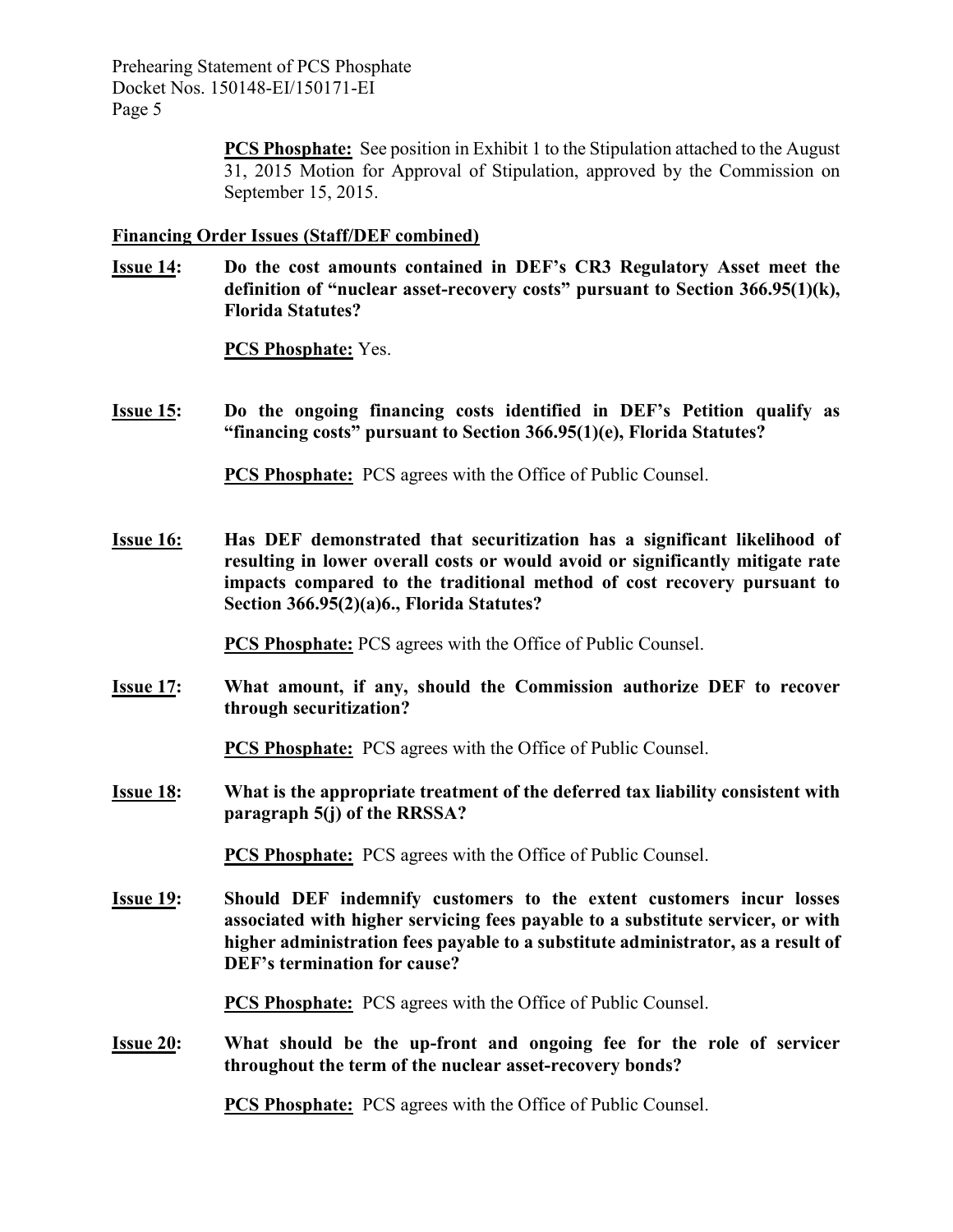> **PCS Phosphate:** See position in Exhibit 1 to the Stipulation attached to the August 31, 2015 Motion for Approval of Stipulation, approved by the Commission on September 15, 2015.

### **Financing Order Issues (Staff/DEF combined)**

**Issue 14: Do the cost amounts contained in DEF's CR3 Regulatory Asset meet the definition of "nuclear asset-recovery costs" pursuant to Section 366.95(1)(k), Florida Statutes?** 

**PCS Phosphate:** Yes.

**Issue 15: Do the ongoing financing costs identified in DEF's Petition qualify as "financing costs" pursuant to Section 366.95(1)(e), Florida Statutes?** 

**PCS Phosphate:** PCS agrees with the Office of Public Counsel.

**Issue 16: Has DEF demonstrated that securitization has a significant likelihood of resulting in lower overall costs or would avoid or significantly mitigate rate impacts compared to the traditional method of cost recovery pursuant to Section 366.95(2)(a)6., Florida Statutes?** 

**PCS Phosphate:** PCS agrees with the Office of Public Counsel.

**Issue 17: What amount, if any, should the Commission authorize DEF to recover through securitization?** 

**PCS Phosphate:** PCS agrees with the Office of Public Counsel.

**Issue 18: What is the appropriate treatment of the deferred tax liability consistent with paragraph 5(j) of the RRSSA?** 

**PCS Phosphate:** PCS agrees with the Office of Public Counsel.

**Issue 19: Should DEF indemnify customers to the extent customers incur losses associated with higher servicing fees payable to a substitute servicer, or with higher administration fees payable to a substitute administrator, as a result of DEF's termination for cause?** 

**PCS Phosphate:** PCS agrees with the Office of Public Counsel.

**Issue 20: What should be the up-front and ongoing fee for the role of servicer throughout the term of the nuclear asset-recovery bonds?** 

**PCS Phosphate:** PCS agrees with the Office of Public Counsel.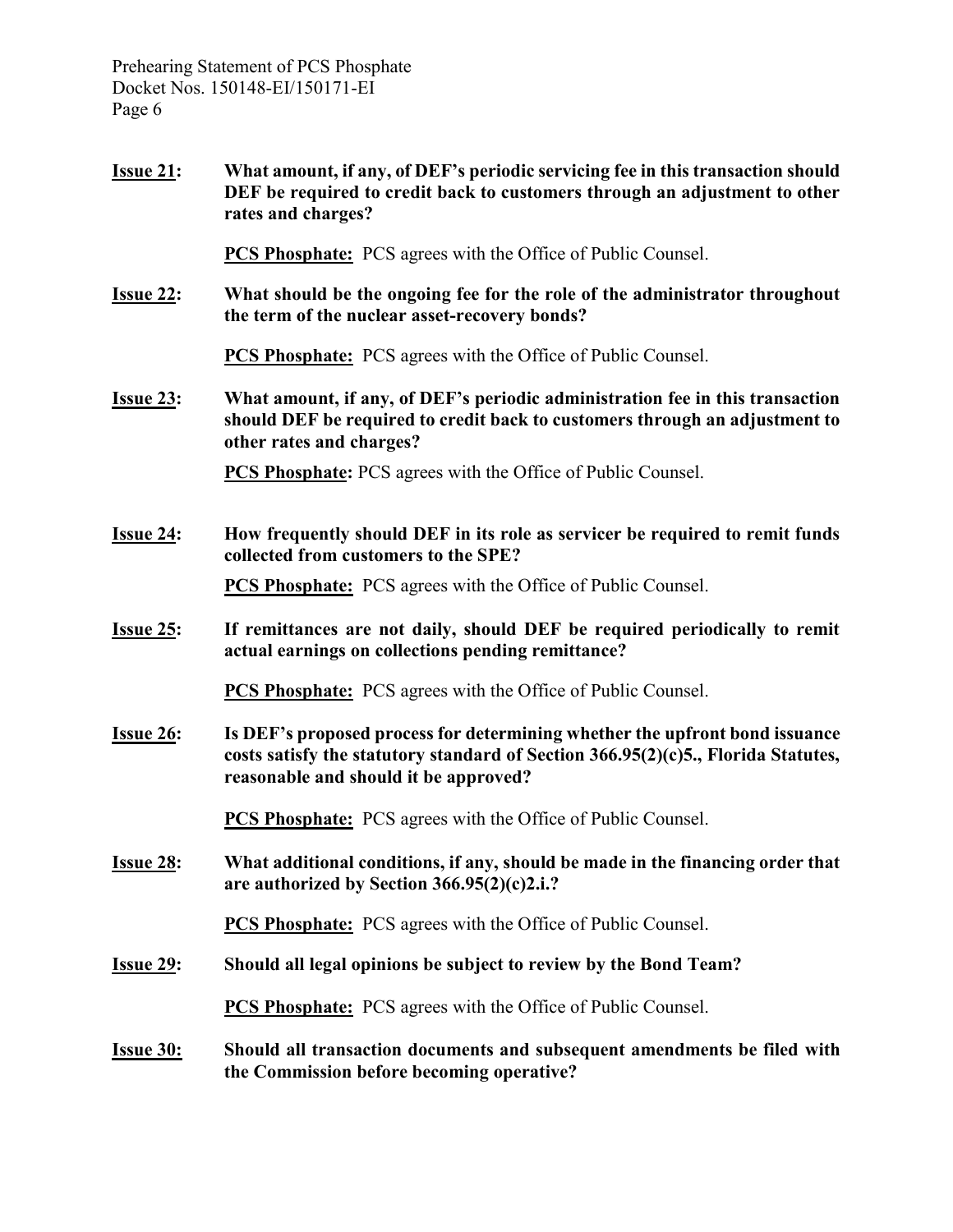**Issue 21: What amount, if any, of DEF's periodic servicing fee in this transaction should DEF be required to credit back to customers through an adjustment to other rates and charges?** 

**PCS Phosphate:** PCS agrees with the Office of Public Counsel.

**Issue 22: What should be the ongoing fee for the role of the administrator throughout the term of the nuclear asset-recovery bonds?** 

**PCS Phosphate:** PCS agrees with the Office of Public Counsel.

**Issue 23: What amount, if any, of DEF's periodic administration fee in this transaction should DEF be required to credit back to customers through an adjustment to other rates and charges?** 

**PCS Phosphate:** PCS agrees with the Office of Public Counsel.

**Issue 24: How frequently should DEF in its role as servicer be required to remit funds collected from customers to the SPE?** 

**PCS Phosphate:** PCS agrees with the Office of Public Counsel.

**Issue 25: If remittances are not daily, should DEF be required periodically to remit actual earnings on collections pending remittance?** 

**PCS Phosphate:** PCS agrees with the Office of Public Counsel.

**Issue 26: Is DEF's proposed process for determining whether the upfront bond issuance costs satisfy the statutory standard of Section 366.95(2)(c)5., Florida Statutes, reasonable and should it be approved?** 

**PCS Phosphate:** PCS agrees with the Office of Public Counsel.

**Issue 28: What additional conditions, if any, should be made in the financing order that are authorized by Section 366.95(2)(c)2.i.?** 

**PCS Phosphate:** PCS agrees with the Office of Public Counsel.

**Issue 29: Should all legal opinions be subject to review by the Bond Team?** 

**PCS Phosphate:** PCS agrees with the Office of Public Counsel.

**Issue 30: Should all transaction documents and subsequent amendments be filed with the Commission before becoming operative?**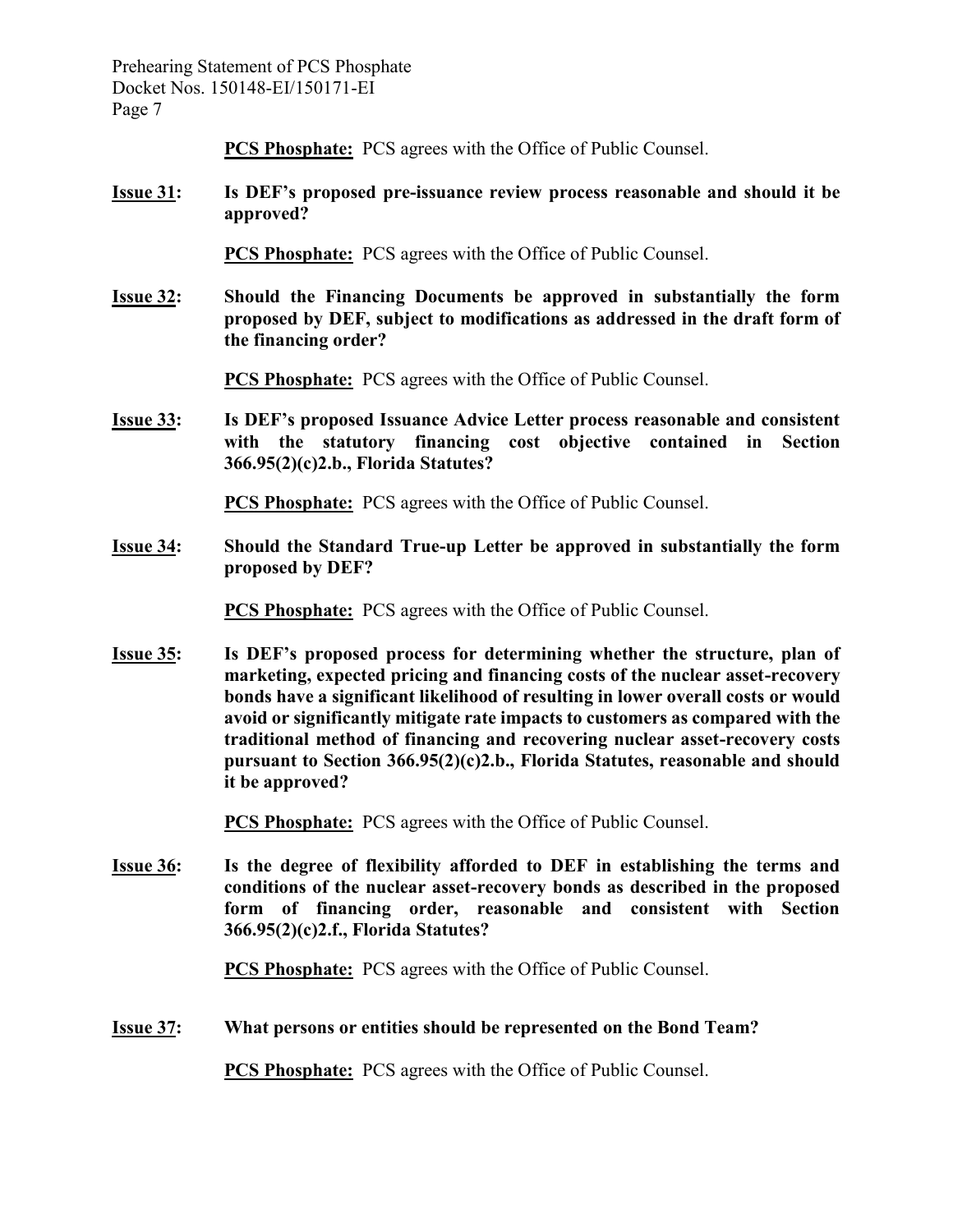**PCS Phosphate:** PCS agrees with the Office of Public Counsel.

**Issue 31: Is DEF's proposed pre-issuance review process reasonable and should it be approved?** 

**PCS Phosphate:** PCS agrees with the Office of Public Counsel.

**Issue 32: Should the Financing Documents be approved in substantially the form proposed by DEF, subject to modifications as addressed in the draft form of the financing order?** 

**PCS Phosphate:** PCS agrees with the Office of Public Counsel.

**Issue 33: Is DEF's proposed Issuance Advice Letter process reasonable and consistent with the statutory financing cost objective contained in Section 366.95(2)(c)2.b., Florida Statutes?** 

**PCS Phosphate:** PCS agrees with the Office of Public Counsel.

**Issue 34: Should the Standard True-up Letter be approved in substantially the form proposed by DEF?** 

**PCS Phosphate:** PCS agrees with the Office of Public Counsel.

**Issue 35: Is DEF's proposed process for determining whether the structure, plan of marketing, expected pricing and financing costs of the nuclear asset-recovery bonds have a significant likelihood of resulting in lower overall costs or would avoid or significantly mitigate rate impacts to customers as compared with the traditional method of financing and recovering nuclear asset-recovery costs pursuant to Section 366.95(2)(c)2.b., Florida Statutes, reasonable and should it be approved?** 

**PCS Phosphate:** PCS agrees with the Office of Public Counsel.

**Issue 36: Is the degree of flexibility afforded to DEF in establishing the terms and conditions of the nuclear asset-recovery bonds as described in the proposed form of financing order, reasonable and consistent with Section 366.95(2)(c)2.f., Florida Statutes?** 

**PCS Phosphate:** PCS agrees with the Office of Public Counsel.

**Issue 37: What persons or entities should be represented on the Bond Team?** 

**PCS Phosphate:** PCS agrees with the Office of Public Counsel.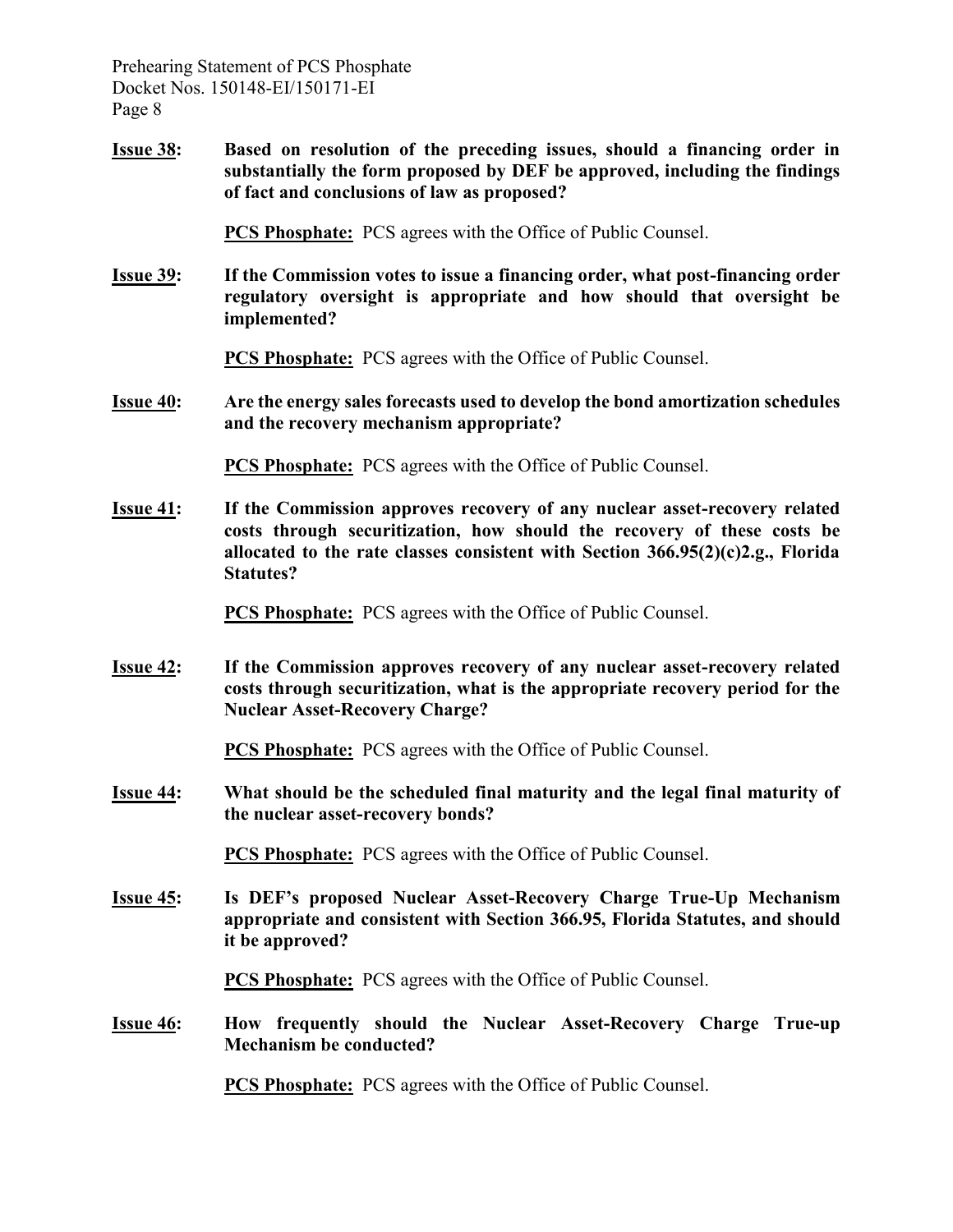**Issue 38: Based on resolution of the preceding issues, should a financing order in substantially the form proposed by DEF be approved, including the findings of fact and conclusions of law as proposed?** 

**PCS Phosphate:** PCS agrees with the Office of Public Counsel.

**Issue 39: If the Commission votes to issue a financing order, what post-financing order regulatory oversight is appropriate and how should that oversight be implemented?** 

**PCS Phosphate:** PCS agrees with the Office of Public Counsel.

**Issue 40: Are the energy sales forecasts used to develop the bond amortization schedules and the recovery mechanism appropriate?** 

**PCS Phosphate:** PCS agrees with the Office of Public Counsel.

**Issue 41: If the Commission approves recovery of any nuclear asset-recovery related costs through securitization, how should the recovery of these costs be allocated to the rate classes consistent with Section 366.95(2)(c)2.g., Florida Statutes?** 

**PCS Phosphate:** PCS agrees with the Office of Public Counsel.

**Issue 42: If the Commission approves recovery of any nuclear asset-recovery related costs through securitization, what is the appropriate recovery period for the Nuclear Asset-Recovery Charge?** 

**PCS Phosphate:** PCS agrees with the Office of Public Counsel.

**Issue 44: What should be the scheduled final maturity and the legal final maturity of the nuclear asset-recovery bonds?** 

**PCS Phosphate:** PCS agrees with the Office of Public Counsel.

**Issue 45: Is DEF's proposed Nuclear Asset-Recovery Charge True-Up Mechanism appropriate and consistent with Section 366.95, Florida Statutes, and should it be approved?** 

**PCS Phosphate:** PCS agrees with the Office of Public Counsel.

**Issue 46: How frequently should the Nuclear Asset-Recovery Charge True-up Mechanism be conducted?** 

**PCS Phosphate:** PCS agrees with the Office of Public Counsel.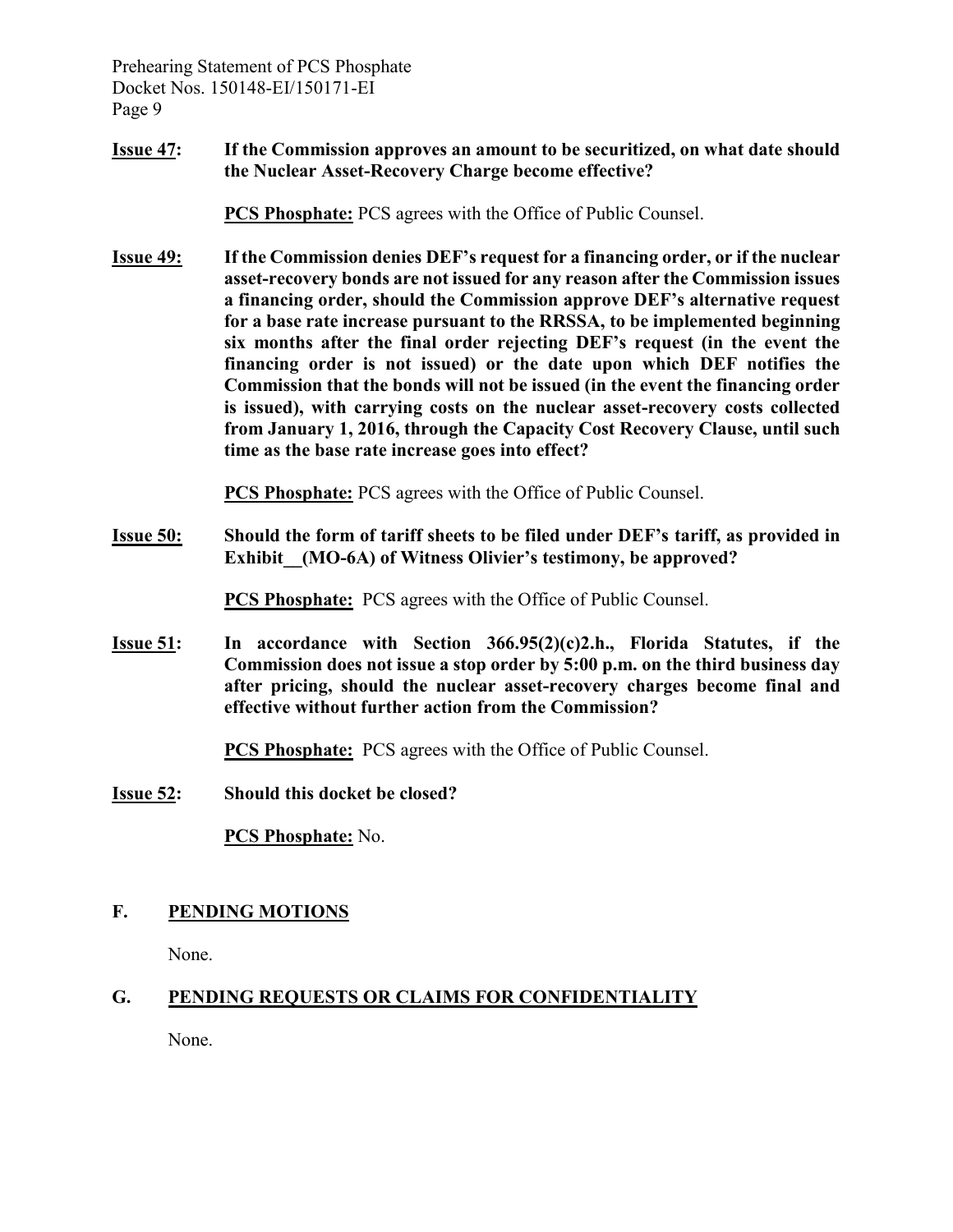**Issue 47: If the Commission approves an amount to be securitized, on what date should the Nuclear Asset-Recovery Charge become effective?** 

**PCS Phosphate:** PCS agrees with the Office of Public Counsel.

**Issue 49: If the Commission denies DEF's request for a financing order, or if the nuclear asset-recovery bonds are not issued for any reason after the Commission issues a financing order, should the Commission approve DEF's alternative request for a base rate increase pursuant to the RRSSA, to be implemented beginning six months after the final order rejecting DEF's request (in the event the financing order is not issued) or the date upon which DEF notifies the Commission that the bonds will not be issued (in the event the financing order is issued), with carrying costs on the nuclear asset-recovery costs collected from January 1, 2016, through the Capacity Cost Recovery Clause, until such time as the base rate increase goes into effect?** 

**PCS Phosphate:** PCS agrees with the Office of Public Counsel.

**Issue 50: Should the form of tariff sheets to be filed under DEF's tariff, as provided in**  Exhibit (MO-6A) of Witness Olivier's testimony, be approved?

**PCS Phosphate:** PCS agrees with the Office of Public Counsel.

**Issue 51: In accordance with Section 366.95(2)(c)2.h., Florida Statutes, if the Commission does not issue a stop order by 5:00 p.m. on the third business day after pricing, should the nuclear asset-recovery charges become final and effective without further action from the Commission?** 

**PCS Phosphate:** PCS agrees with the Office of Public Counsel.

**Issue 52: Should this docket be closed?** 

**PCS Phosphate:** No.

## **F. PENDING MOTIONS**

None.

# **G. PENDING REQUESTS OR CLAIMS FOR CONFIDENTIALITY**

None.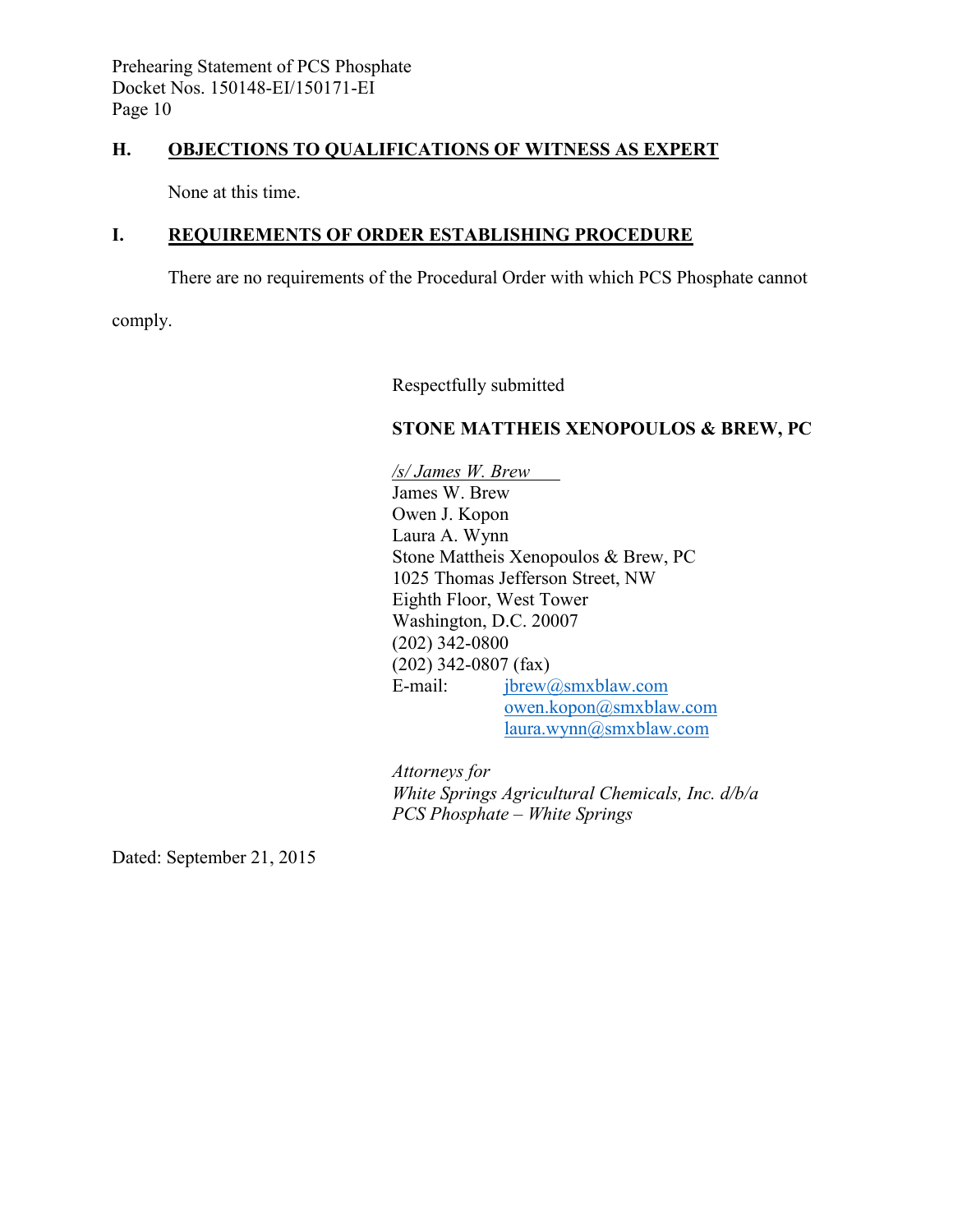## **H. OBJECTIONS TO QUALIFICATIONS OF WITNESS AS EXPERT**

None at this time.

## **I. REQUIREMENTS OF ORDER ESTABLISHING PROCEDURE**

There are no requirements of the Procedural Order with which PCS Phosphate cannot

comply.

Respectfully submitted

#### **STONE MATTHEIS XENOPOULOS & BREW, PC**

*/s/ James W. Brew*  James W. Brew Owen J. Kopon Laura A. Wynn Stone Mattheis Xenopoulos & Brew, PC 1025 Thomas Jefferson Street, NW Eighth Floor, West Tower Washington, D.C. 20007 (202) 342-0800 (202) 342-0807 (fax) E-mail: [jbrew@smxblaw.com](mailto:jbrew@smxblaw.com) [owen.kopon@smxblaw.com](mailto:owen.kopon@smxblaw.com) [laura.wynn@smxblaw.com](mailto:laura.wynn@smxblaw.com)

*Attorneys for White Springs Agricultural Chemicals, Inc. d/b/a PCS Phosphate – White Springs* 

Dated: September 21, 2015